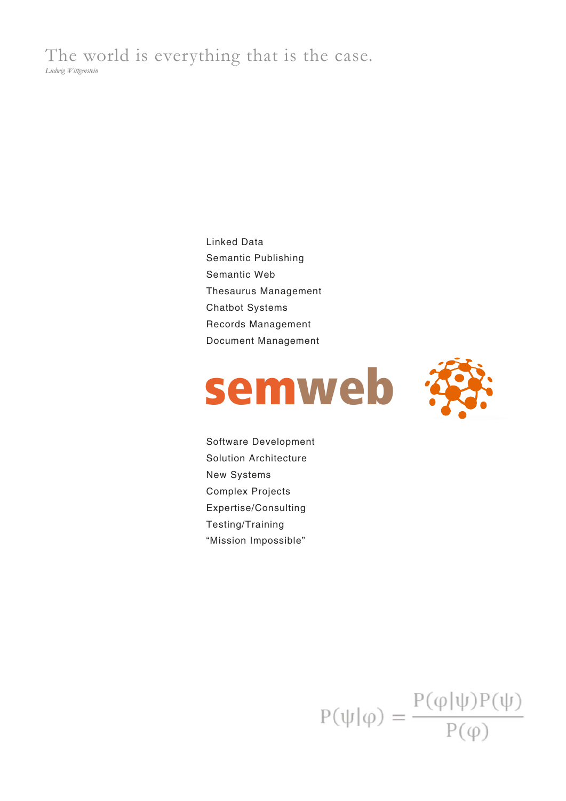The world is everything that is the case. *Ludwig Wittgenstein* 

> Linked Data Semantic Publishing Semantic Web Thesaurus Management Chatbot Systems Records Management Document Management





Software Development Solution Architecture New Systems Complex Projects Expertise/Consulting Testing/Training "Mission Impossible"

 $P(\psi|\varphi) = \frac{P(\varphi|\psi)P(\psi)}{P(\varphi)}$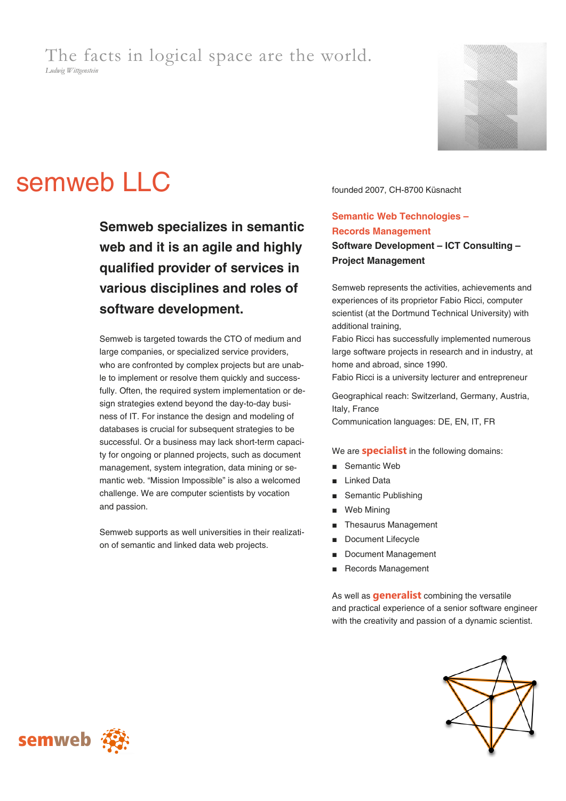## The facts in logical space are the world. *Ludwig Wittgenstein*



# semweb LLC founded 2007, CH-8700 Küsnacht

**Semweb specializes in semantic web and it is an agile and highly qualified provider of services in various disciplines and roles of software development.** 

Semweb is targeted towards the CTO of medium and large companies, or specialized service providers, who are confronted by complex projects but are unable to implement or resolve them quickly and successfully. Often, the required system implementation or design strategies extend beyond the day-to-day business of IT. For instance the design and modeling of databases is crucial for subsequent strategies to be successful. Or a business may lack short-term capacity for ongoing or planned projects, such as document management, system integration, data mining or semantic web. "Mission Impossible" is also a welcomed challenge. We are computer scientists by vocation and passion.

Semweb supports as well universities in their realization of semantic and linked data web projects.

## **Semantic Web Technologies – Records Management Software Development – ICT Consulting – Project Management**

Semweb represents the activities, achievements and experiences of its proprietor Fabio Ricci, computer scientist (at the Dortmund Technical University) with additional training,

Fabio Ricci has successfully implemented numerous large software projects in research and in industry, at home and abroad, since 1990.

Fabio Ricci is a university lecturer and entrepreneur

Geographical reach: Switzerland, Germany, Austria, Italy, France Communication languages: DE, EN, IT, FR

We are **specialist** in the following domains:

- Semantic Web
- **Linked Data**
- Semantic Publishing
- Web Mining
- Thesaurus Management
- Document Lifecycle
- Document Management
- Records Management

As well as **generalist** combining the versatile and practical experience of a senior software engineer with the creativity and passion of a dynamic scientist.



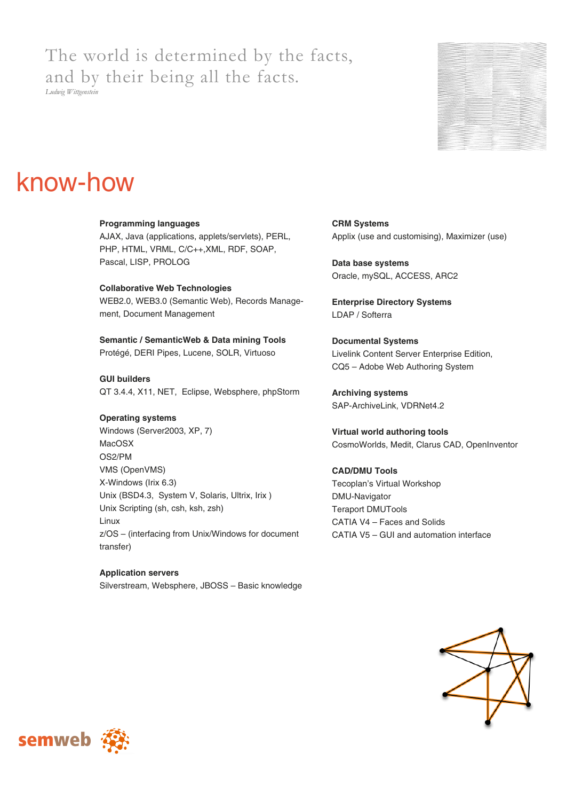## The world is determined by the facts, and by their being all the facts.

*Ludwig Wittgenstein* 



## know-how

## **Programming languages** AJAX, Java (applications, applets/servlets), PERL, PHP, HTML, VRML, C/C++,XML, RDF, SOAP, Pascal, LISP, PROLOG

**Collaborative Web Technologies**  WEB2.0, WEB3.0 (Semantic Web), Records Management, Document Management

**Semantic / SemanticWeb & Data mining Tools** Protégé, DERI Pipes, Lucene, SOLR, Virtuoso

**GUI builders**  QT 3.4.4, X11, NET, Eclipse, Websphere, phpStorm

## **Operating systems**

Windows (Server2003, XP, 7) MacOSX OS2/PM VMS (OpenVMS) X-Windows (Irix 6.3) Unix (BSD4.3, System V, Solaris, Ultrix, Irix ) Unix Scripting (sh, csh, ksh, zsh) Linux z/OS – (interfacing from Unix/Windows for document transfer)

**Application servers**  Silverstream, Websphere, JBOSS – Basic knowledge **CRM Systems** Applix (use and customising), Maximizer (use)

**Data base systems**  Oracle, mySQL, ACCESS, ARC2

**Enterprise Directory Systems**  LDAP / Softerra

**Documental Systems**  Livelink Content Server Enterprise Edition, CQ5 – Adobe Web Authoring System

**Archiving systems**  SAP-ArchiveLink, VDRNet4.2

**Virtual world authoring tools**  CosmoWorlds, Medit, Clarus CAD, OpenInventor

## **CAD/DMU Tools**  Tecoplan's Virtual Workshop DMU-Navigator Teraport DMUTools CATIA V4 – Faces and Solids CATIA V5 – GUI and automation interface



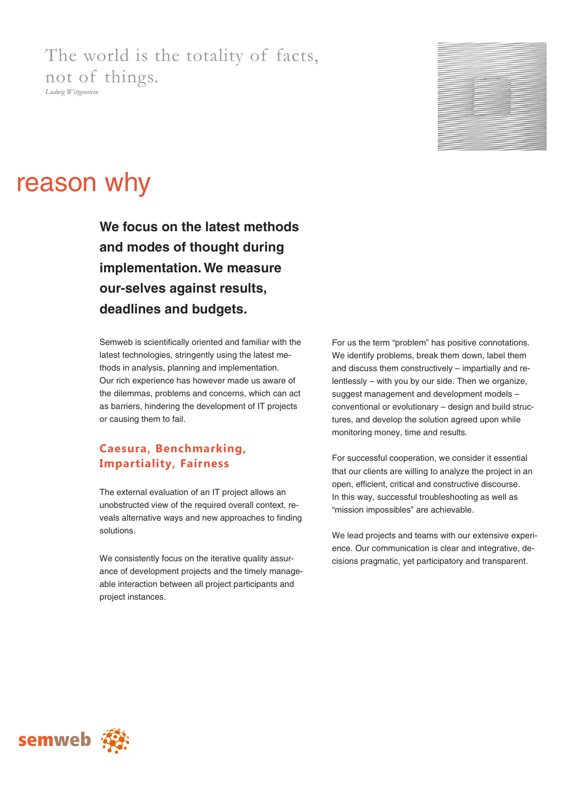The world is the totality of facts, not of things. *Ludwig Wittgenstein* 



## reason why

**We focus on the latest methods and modes of thought during implementation. We measure our-selves against results, deadlines and budgets.** 

Semweb is scientifically oriented and familiar with the latest technologies, stringently using the latest methods in analysis, planning and implementation. Our rich experience has however made us aware of the dilemmas, problems and concerns, which can act as barriers, hindering the development of IT projects or causing them to fail.

## **Caesura, Benchmarking, Impartiality, Fairness**

The external evaluation of an IT project allows an unobstructed view of the required overall context, reveals alternative ways and new approaches to finding solutions.

We consistently focus on the iterative quality assurance of development projects and the timely manageable interaction between all project participants and project instances.

For us the term "problem" has positive connotations. We identify problems, break them down, label them and discuss them constructively – impartially and relentlessly – with you by our side. Then we organize, suggest management and development models – conventional or evolutionary – design and build structures, and develop the solution agreed upon while monitoring money, time and results.

For successful cooperation, we consider it essential that our clients are willing to analyze the project in an open, efficient, critical and constructive discourse. In this way, successful troubleshooting as well as "mission impossibles" are achievable.

We lead projects and teams with our extensive experience. Our communication is clear and integrative, decisions pragmatic, yet participatory and transparent.

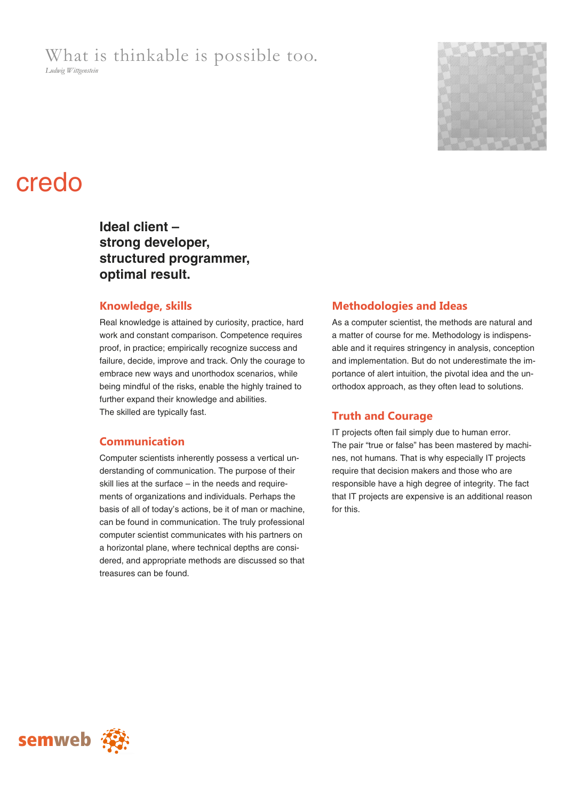What is thinkable is possible too.

*Ludwig Wittgenstein* 



## credo

**Ideal client – strong developer, structured programmer, optimal result.** 

## **Knowledge, skills**

Real knowledge is attained by curiosity, practice, hard work and constant comparison. Competence requires proof, in practice; empirically recognize success and failure, decide, improve and track. Only the courage to embrace new ways and unorthodox scenarios, while being mindful of the risks, enable the highly trained to further expand their knowledge and abilities. The skilled are typically fast.

## **Communication**

Computer scientists inherently possess a vertical understanding of communication. The purpose of their skill lies at the surface – in the needs and requirements of organizations and individuals. Perhaps the basis of all of today's actions, be it of man or machine, can be found in communication. The truly professional computer scientist communicates with his partners on a horizontal plane, where technical depths are considered, and appropriate methods are discussed so that treasures can be found.

## **Methodologies and Ideas**

As a computer scientist, the methods are natural and a matter of course for me. Methodology is indispensable and it requires stringency in analysis, conception and implementation. But do not underestimate the importance of alert intuition, the pivotal idea and the unorthodox approach, as they often lead to solutions.

## **Truth and Courage**

IT projects often fail simply due to human error. The pair "true or false" has been mastered by machines, not humans. That is why especially IT projects require that decision makers and those who are responsible have a high degree of integrity. The fact that IT projects are expensive is an additional reason for this.

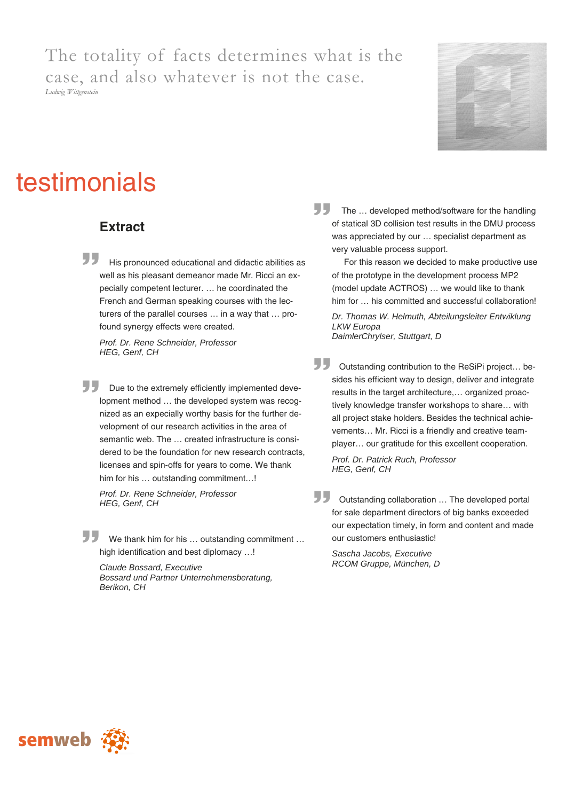The totality of facts determines what is the case, and also whatever is not the case. *Ludwig Wittgenstein* 



## testimonials

## **Extract**

ال ال His pronounced educational and didactic abilities as well as his pleasant demeanor made Mr. Ricci an expecially competent lecturer. … he coordinated the French and German speaking courses with the lecturers of the parallel courses … in a way that … profound synergy effects were created.

*Prof. Dr. Rene Schneider, Professor HEG, Genf, CH* 

77 Due to the extremely efficiently implemented development method … the developed system was recognized as an expecially worthy basis for the further development of our research activities in the area of semantic web. The … created infrastructure is considered to be the foundation for new research contracts, licenses and spin-offs for years to come. We thank him for his ... outstanding commitment...!

*Prof. Dr. Rene Schneider, Professor HEG, Genf, CH* 

77 We thank him for his … outstanding commitment … high identification and best diplomacy …!

*Claude Bossard, Executive Bossard und Partner Unternehmensberatung, Berikon, CH* 

The ... developed method/software for the handling<br>of statical 3D collision test results in the DMU process of statical 3D collision test results in the DMU process was appreciated by our … specialist department as very valuable process support.

 For this reason we decided to make productive use of the prototype in the development process MP2 (model update ACTROS) … we would like to thank him for ... his committed and successful collaboration!

*Dr. Thomas W. Helmuth, Abteilungsleiter Entwiklung LKW Europa DaimlerChrylser, Stuttgart, D* 

55 Outstanding contribution to the ReSiPi project… besides his efficient way to design, deliver and integrate results in the target architecture,… organized proactively knowledge transfer workshops to share… with all project stake holders. Besides the technical achievements… Mr. Ricci is a friendly and creative teamplayer… our gratitude for this excellent cooperation.

*Prof. Dr. Patrick Ruch, Professor HEG, Genf, CH* 

55 Outstanding collaboration … The developed portal for sale department directors of big banks exceeded our expectation timely, in form and content and made our customers enthusiastic!

*Sascha Jacobs, Executive RCOM Gruppe, München, D* 

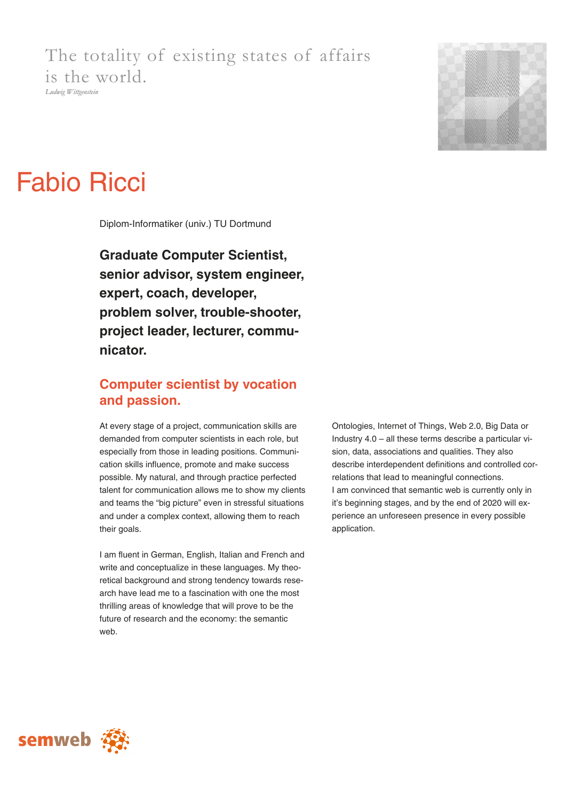## The totality of existing states of affairs is the world. *Ludwig Wittgenstein*



# Fabio Ricci

Diplom-Informatiker (univ.) TU Dortmund

**Graduate Computer Scientist, senior advisor, system engineer, expert, coach, developer, problem solver, trouble-shooter, project leader, lecturer, communicator.** 

## **Computer scientist by vocation and passion.**

At every stage of a project, communication skills are demanded from computer scientists in each role, but especially from those in leading positions. Communication skills influence, promote and make success possible. My natural, and through practice perfected talent for communication allows me to show my clients and teams the "big picture" even in stressful situations and under a complex context, allowing them to reach their goals.

I am fluent in German, English, Italian and French and write and conceptualize in these languages. My theoretical background and strong tendency towards research have lead me to a fascination with one the most thrilling areas of knowledge that will prove to be the future of research and the economy: the semantic web.

Ontologies, Internet of Things, Web 2.0, Big Data or Industry 4.0 – all these terms describe a particular vision, data, associations and qualities. They also describe interdependent definitions and controlled correlations that lead to meaningful connections. I am convinced that semantic web is currently only in it's beginning stages, and by the end of 2020 will experience an unforeseen presence in every possible application.

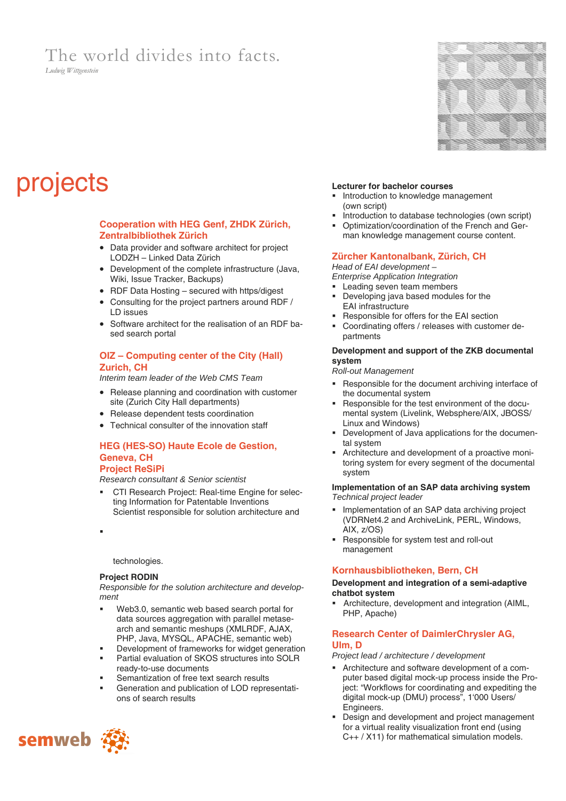## The world divides into facts.

*Ludwig Wittgenstein* 



## projects **Lecturer for bachelor courses**

## **Cooperation with HEG Genf, ZHDK Zürich, Zentralbibliothek Zürich**

- Data provider and software architect for project LODZH – Linked Data Zürich
- Development of the complete infrastructure (Java, Wiki, Issue Tracker, Backups)
- RDF Data Hosting secured with https/digest
- Consulting for the project partners around RDF / LD issues
- Software architect for the realisation of an RDF based search portal

## **OIZ – Computing center of the City (Hall) Zurich, CH**

*Interim team leader of the Web CMS Team* 

- Release planning and coordination with customer site (Zurich City Hall departments)
- Release dependent tests coordination
- Technical consulter of the innovation staff

## **HEG (HES-SO) Haute Ecole de Gestion, Geneva, CH**

#### **Project ReSiPi**

*Research consultant & Senior scientist* 

CTI Research Project: Real-time Engine for selecting Information for Patentable Inventions Scientist responsible for solution architecture and

н.

technologies.

#### **Project RODIN**

*Responsible for the solution architecture and development* 

- Web3.0, semantic web based search portal for data sources aggregation with parallel metasearch and semantic meshups (XMLRDF, AJAX, PHP, Java, MYSQL, APACHE, semantic web)
- Development of frameworks for widget generation
- Partial evaluation of SKOS structures into SOLR ready-to-use documents
- Semantization of free text search results
- Generation and publication of LOD representations of search results

- **Introduction to knowledge management** (own script)
- Introduction to database technologies (own script)
- Optimization/coordination of the French and German knowledge management course content.

## **Zürcher Kantonalbank, Zürich, CH**

*Head of EAI development –* 

- *Enterprise Application Integration*
- **Leading seven team members** Developing java based modules for the
- EAI infrastructure
- Responsible for offers for the EAI section
- Coordinating offers / releases with customer departments

#### **Development and support of the ZKB documental system**

*Roll-out Management* 

- Responsible for the document archiving interface of the documental system
- Responsible for the test environment of the documental system (Livelink, Websphere/AIX, JBOSS/ Linux and Windows)
- Development of Java applications for the documental system
- Architecture and development of a proactive monitoring system for every segment of the documental system

#### **Implementation of an SAP data archiving system**  *Technical project leader*

- Implementation of an SAP data archiving project (VDRNet4.2 and ArchiveLink, PERL, Windows, AIX, z/OS)
- Responsible for system test and roll-out management

## **Kornhausbibliotheken, Bern, CH**

#### **Development and integration of a semi-adaptive chatbot system**

Architecture, development and integration (AIML, PHP, Apache)

## **Research Center of DaimlerChrysler AG, Ulm, D**

#### *Project lead / architecture / development*

- Architecture and software development of a computer based digital mock-up process inside the Project: "Workflows for coordinating and expediting the digital mock-up (DMU) process", 1'000 Users/ Engineers.
- **Design and development and project management** for a virtual reality visualization front end (using C++ / X11) for mathematical simulation models.

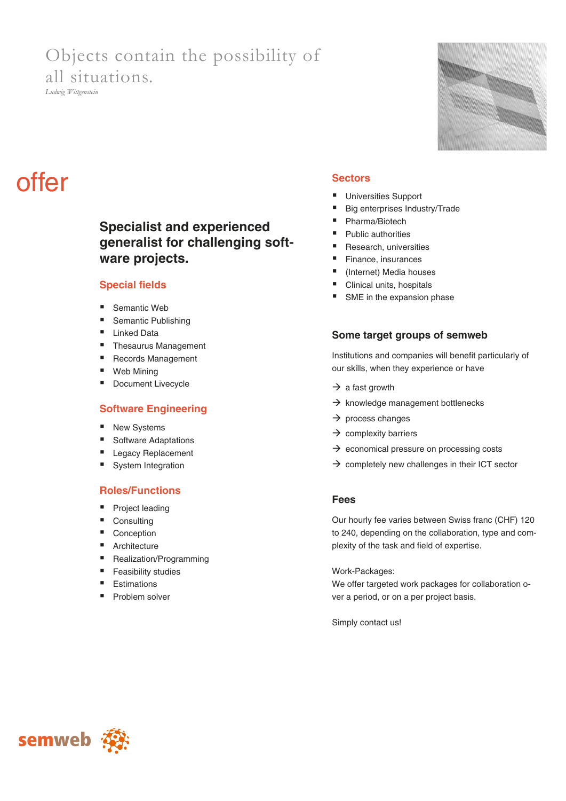## Objects contain the possibility of all situations.

*Ludwig Wittgenstein* 

# 

# offer **Sectors**

## **Specialist and experienced generalist for challenging software projects.**

## **Special fields**

- Semantic Web
- Semantic Publishing
- **Linked Data**
- Thesaurus Management
- Records Management
- Web Mining
- Document Livecycle

## **Software Engineering**

- New Systems
- Software Adaptations
- Legacy Replacement
- System Integration

## **Roles/Functions**

- Project leading
- Consulting
- Conception
- Architecture
- Realization/Programming
- **Feasibility studies**
- **Estimations**
- Problem solver

- Universities Support
- Big enterprises Industry/Trade
- Pharma/Biotech
- Public authorities
- Research, universities
- Finance, insurances
- (Internet) Media houses
- Clinical units, hospitals
- SME in the expansion phase

## **Some target groups of semweb**

Institutions and companies will benefit particularly of our skills, when they experience or have

- $\rightarrow$  a fast growth
- $\rightarrow$  knowledge management bottlenecks
- $\rightarrow$  process changes
- $\rightarrow$  complexity barriers
- $\rightarrow$  economical pressure on processing costs
- $\rightarrow$  completely new challenges in their ICT sector

## **Fees**

Our hourly fee varies between Swiss franc (CHF) 120 to 240, depending on the collaboration, type and complexity of the task and field of expertise.

Work-Packages:

We offer targeted work packages for collaboration over a period, or on a per project basis.

Simply contact us!

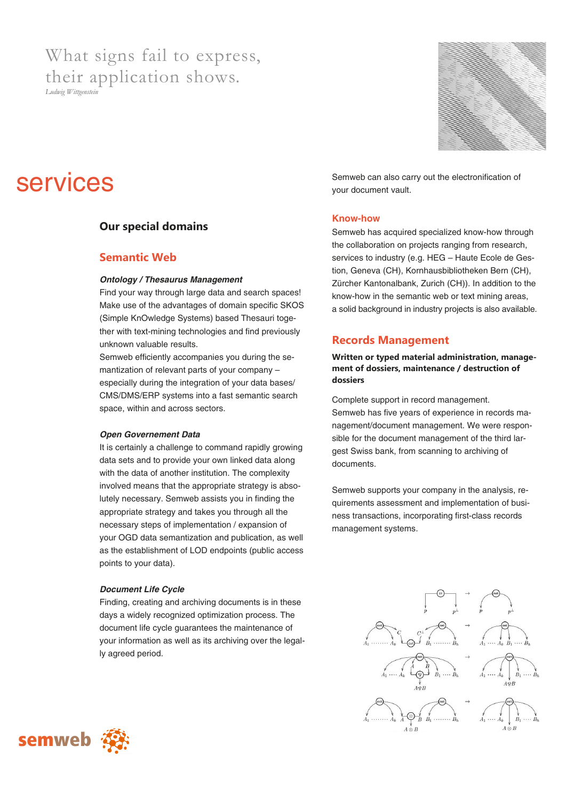## What signs fail to express, their application shows.

*Ludwig Wittgenstein* 



## **Our special domains**

## **Semantic Web**

## *Ontology / Thesaurus Management*

Find your way through large data and search spaces! Make use of the advantages of domain specific SKOS (Simple KnOwledge Systems) based Thesauri together with text-mining technologies and find previously unknown valuable results.

Semweb efficiently accompanies you during the semantization of relevant parts of your company – especially during the integration of your data bases/ CMS/DMS/ERP systems into a fast semantic search space, within and across sectors.

#### *Open Governement Data*

It is certainly a challenge to command rapidly growing data sets and to provide your own linked data along with the data of another institution. The complexity involved means that the appropriate strategy is absolutely necessary. Semweb assists you in finding the appropriate strategy and takes you through all the necessary steps of implementation / expansion of your OGD data semantization and publication, as well as the establishment of LOD endpoints (public access points to your data).

## *Document Life Cycle*

Finding, creating and archiving documents is in these days a widely recognized optimization process. The document life cycle guarantees the maintenance of your information as well as its archiving over the legally agreed period.

Semweb can also carry out the electronification of your document vault.

## **Know-how**

Semweb has acquired specialized know-how through the collaboration on projects ranging from research, services to industry (e.g. HEG – Haute Ecole de Gestion, Geneva (CH), Kornhausbibliotheken Bern (CH), Zürcher Kantonalbank, Zurich (CH)). In addition to the know-how in the semantic web or text mining areas, a solid background in industry projects is also available.

## **Records Management**

## **Written or typed material administration, management of dossiers, maintenance / destruction of dossiers**

Complete support in record management. Semweb has five years of experience in records management/document management. We were responsible for the document management of the third largest Swiss bank, from scanning to archiving of documents.

Semweb supports your company in the analysis, requirements assessment and implementation of business transactions, incorporating first-class records management systems.



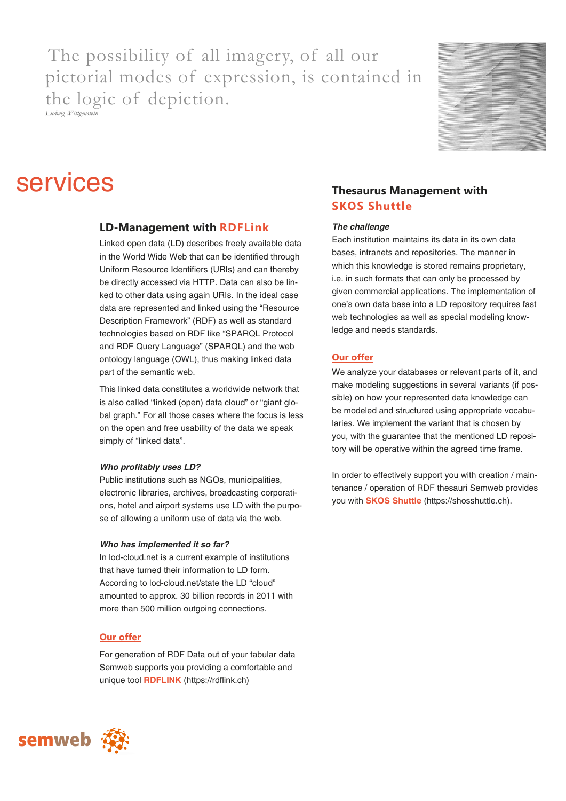The possibility of all imagery, of all our pictorial modes of expression, is contained in the logic of depiction. *Ludwig Wittgenstein* 



## **SETVICES** Thesaurus Management with

## **LD-Management with RDFLink**

Linked open data (LD) describes freely available data in the World Wide Web that can be identified through Uniform Resource Identifiers (URIs) and can thereby be directly accessed via HTTP. Data can also be linked to other data using again URIs. In the ideal case data are represented and linked using the "Resource Description Framework" (RDF) as well as standard technologies based on RDF like "SPARQL Protocol and RDF Query Language" (SPARQL) and the web ontology language (OWL), thus making linked data part of the semantic web.

This linked data constitutes a worldwide network that is also called "linked (open) data cloud" or "giant global graph." For all those cases where the focus is less on the open and free usability of the data we speak simply of "linked data".

## *Who profitably uses LD?*

Public institutions such as NGOs, municipalities, electronic libraries, archives, broadcasting corporations, hotel and airport systems use LD with the purpose of allowing a uniform use of data via the web.

#### *Who has implemented it so far?*

In lod-cloud.net is a current example of institutions that have turned their information to LD form. According to lod-cloud.net/state the LD "cloud" amounted to approx. 30 billion records in 2011 with more than 500 million outgoing connections.

## **Our offer**

For generation of RDF Data out of your tabular data Semweb supports you providing a comfortable and unique tool **RDFLINK** (https://rdflink.ch)

## **SKOS Shuttle**

#### *The challenge*

Each institution maintains its data in its own data bases, intranets and repositories. The manner in which this knowledge is stored remains proprietary, i.e. in such formats that can only be processed by given commercial applications. The implementation of one's own data base into a LD repository requires fast web technologies as well as special modeling knowledge and needs standards.

## **Our offer**

We analyze your databases or relevant parts of it, and make modeling suggestions in several variants (if possible) on how your represented data knowledge can be modeled and structured using appropriate vocabularies. We implement the variant that is chosen by you, with the guarantee that the mentioned LD repository will be operative within the agreed time frame.

In order to effectively support you with creation / maintenance / operation of RDF thesauri Semweb provides you with **SKOS Shuttle** (https://shosshuttle.ch).